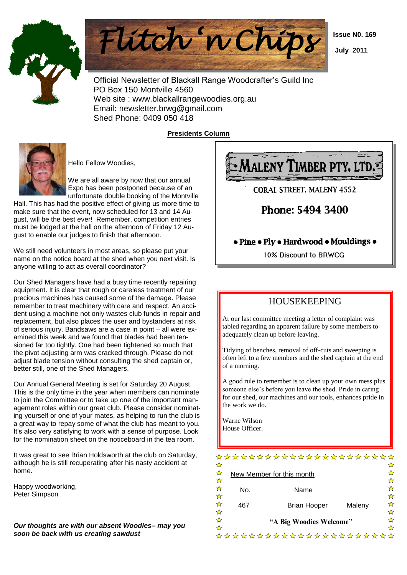



 Official Newsletter of Blackall Range Woodcrafter's Guild Inc PO Box 150 Montville 4560 Web site : www.blackallrangewoodies.org.au Email**:** newsletter.brwg@gmail.com Shed Phone: 0409 050 418

**Presidents Column**



Hello Fellow Woodies,

We are all aware by now that our annual Expo has been postponed because of an unfortunate double booking of the Montville

Hall. This has had the positive effect of giving us more time to make sure that the event, now scheduled for 13 and 14 August, will be the best ever! Remember, competition entries must be lodged at the hall on the afternoon of Friday 12 August to enable our judges to finish that afternoon.

We still need volunteers in most areas, so please put your name on the notice board at the shed when you next visit. Is anyone willing to act as overall coordinator?

Our Shed Managers have had a busy time recently repairing equipment. It is clear that rough or careless treatment of our precious machines has caused some of the damage. Please remember to treat machinery with care and respect. An accident using a machine not only wastes club funds in repair and replacement, but also places the user and bystanders at risk of serious injury. Bandsaws are a case in point – all were examined this week and we found that blades had been tensioned far too tightly. One had been tightened so much that the pivot adjusting arm was cracked through. Please do not adjust blade tension without consulting the shed captain or, better still, one of the Shed Managers.

Our Annual General Meeting is set for Saturday 20 August. This is the only time in the year when members can nominate to join the Committee or to take up one of the important management roles within our great club. Please consider nominating yourself or one of your mates, as helping to run the club is a great way to repay some of what the club has meant to you. It's also very satisfying to work with a sense of purpose. Look for the nomination sheet on the noticeboard in the tea room.

It was great to see Brian Holdsworth at the club on Saturday, although he is still recuperating after his nasty accident at home.

Happy woodworking, Peter Simpson

*Our thoughts are with our absent Woodies– may you soon be back with us creating sawdust*



**CORAL STREET. MALENY 4552** 

# Phone: 5494 3400

### • Pine • Ply • Hardwood • Mouldings •

10% Discount to BRWCG

## HOUSEKEEPING

At our last committee meeting a letter of complaint was tabled regarding an apparent failure by some members to adequately clean up before leaving.

Tidying of benches, removal of off-cuts and sweeping is often left to a few members and the shed captain at the end of a morning.

A good rule to remember is to clean up your own mess plus someone else's before you leave the shed. Pride in caring for our shed, our machines and our tools, enhances pride in the work we do.

Warne Wilson House Officer.

|             |     | **********************    |        |             |
|-------------|-----|---------------------------|--------|-------------|
| ☆<br>☆<br>☆ |     | New Member for this month |        | ☆<br>☆<br>☆ |
| ☆<br>☆      | No. | Name                      |        | ✿           |
| ☆<br>☆      | 467 | <b>Brian Hooper</b>       | Maleny | ☆<br>✿      |
| ☆<br>☆      |     | "A Big Woodies Welcome"   |        | ✿           |
|             |     | ☆☆☆☆☆☆☆☆☆☆☆☆☆☆☆☆☆☆☆☆☆☆☆☆  |        |             |

 **Issue N0. 169**

 **July 2011**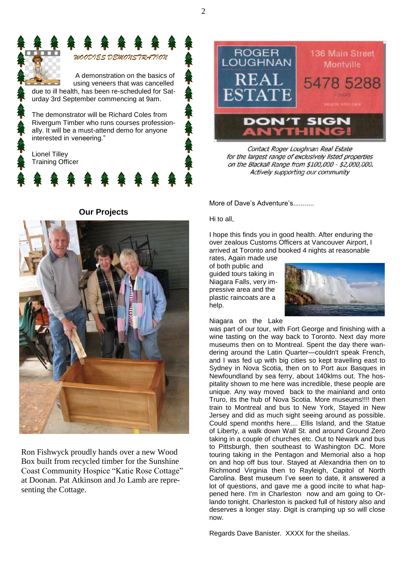



Contact Roger Loughnan Real Estate for the largest range of exclusively listed properties on the Blackall Range from \$100,000 - \$2,000,000. Actively supporting our community

More of Dave's Adventure's...........

Hi to all,

I hope this finds you in good health. After enduring the over zealous Customs Officers at Vancouver Airport, I arrived at Toronto and booked 4 nights at reasonable rates, Again made use

of both public and guided tours taking in Niagara Falls, very impressive area and the plastic raincoats are a help.

Niagara on the Lake



was part of our tour, with Fort George and finishing with a wine tasting on the way back to Toronto. Next day more museums then on to Montreal. Spent the day there wandering around the Latin Quarter—couldn't speak French, and I was fed up with big cities so kept travelling east to Sydney in Nova Scotia, then on to Port aux Basques in Newfoundland by sea ferry, about 140klms out. The hospitality shown to me here was incredible, these people are unique. Any way moved back to the mainland and onto Truro, its the hub of Nova Scotia. More museums!!!! then train to Montreal and bus to New York, Stayed in New Jersey and did as much sight seeing around as possible. Could spend months here.... Ellis Island, and the Statue of Liberty, a walk down Wall St. and around Ground Zero taking in a couple of churches etc. Out to Newark and bus to Pittsburgh, then southeast to Washington DC. More touring taking in the Pentagon and Memorial also a hop on and hop off bus tour. Stayed at Alexandria then on to Richmond Virginia then to Rayleigh, Capitol of North Carolina. Best museum I've seen to date, it answered a lot of questions, and gave me a good incite to what happened here. I'm in Charleston now and am going to Orlando tonight. Charleston is packed full of history also and deserves a longer stay. Digit is cramping up so will close now.

Regards Dave Banister. XXXX for the sheilas.

**Our Projects**



Ron Fishwyck proudly hands over a new Wood Box built from recycled timber for the Sunshine Coast Community Hospice "Katie Rose Cottage" at Doonan. Pat Atkinson and Jo Lamb are representing the Cottage.

2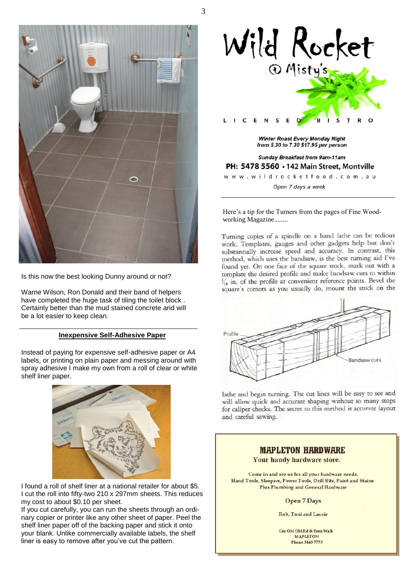

Is this now the best looking Dunny around or not?

Warne Wilson, Ron Donald and their band of helpers have completed the huge task of tiling the toilet block . Certainly better than the mud stained concrete and will be a lot easier to keep clean.

### **Inexpensive Self-Adhesive Paper**

Instead of paying for expensive self-adhesive paper or A4 labels, or printing on plain paper and messing around with spray adhesive I make my own from a roll of clear or white shelf liner paper.



I found a roll of shelf liner at a national retailer for about \$5. I cut the roll into fifty-two 210 x 297mm sheets. This reduces my cost to about \$0.10 per sheet.

If you cut carefully, you can run the sheets through an ordinary copier or printer like any other sheet of paper. Peel the shelf liner paper off of the backing paper and stick it onto your blank. Unlike commercially available labels, the shelf liner is easy to remove after you've cut the pattern.



**Winter Roast Every Monday Night** from 5.30 to 7.30 \$17.95 per person

**Sunday Breakfast from 9am-11am** PH: 5478 5560 . 142 Main Street, Montville www.wildrocketfood.com.au

Open 7 days a week

Here's a tip for the Turners from the pages of Fine Woodworking Magazine........

Turning copies of a spindle on a hand lathe can be tedious work. Templates, gauges and other gadgets help but don't substantially increase speed and accuracy. In contrast, this method, which uses the bandsaw, is the best turning aid I've found vet. On one face of the square stock, mark out with a template the desired profile and make bandsaw cuts to within  $\frac{1}{16}$  in. of the profile at convenient reference points. Bevel the square's corners as you usually do, mount the stock on the



lathe and begin turning. The cut lines will be easy to see and will allow quick and accurate shaping without so many stops for caliper checks. The secret to this method is accurate layout and careful sawing.

### **MAPLETON HARDWARE** Your handy hardware store. Come in and see us for all your hardware needs. Hand Tools, Sleepers, Power Tools, Drill Bits, Paint and Stains. Plus Plumbing and General Hardware **Open 7 Days**

Rob, Toni and Laurie

Cur Obi Obi Rd & Emu Walk **MAPLETON Phone 5445 7773** 

3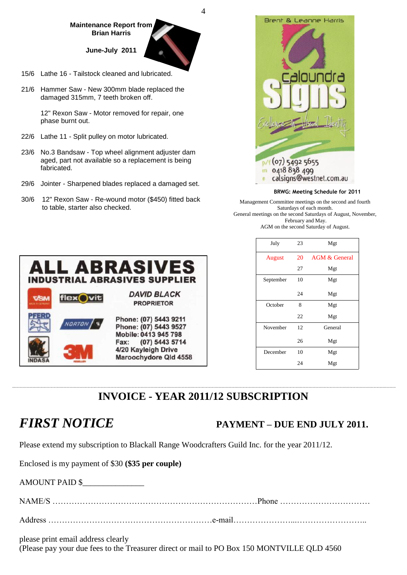### **Maintenance Report from Brian Harris**

**June-July 2011**

- 15/6 Lathe 16 Tailstock cleaned and lubricated.
- 21/6 Hammer Saw New 300mm blade replaced the damaged 315mm, 7 teeth broken off.

12" Rexon Saw - Motor removed for repair, one phase burnt out.

- 22/6 Lathe 11 Split pulley on motor lubricated.
- 23/6 No.3 Bandsaw Top wheel alignment adjuster dam aged, part not available so a replacement is being fabricated.
- 29/6 Jointer Sharpened blades replaced a damaged set.
- 30/6 12" Rexon Saw Re-wound motor (\$450) fitted back to table, starter also checked.



### **BRWG: Meeting Schedule for 2011**

Management Committee meetings on the second and fourth Saturdays of each month. General meetings on the second Saturdays of August, November, February and May. AGM on the second Saturday of August.



| July          | 23 | Mgt                      |
|---------------|----|--------------------------|
| <b>August</b> | 20 | <b>AGM &amp; General</b> |
|               | 27 | Mgt                      |
| September     | 10 | Mgt                      |
|               | 24 | Mgt                      |
| October       | 8  | Mgt                      |
|               | 22 | Mgt                      |
| November      | 12 | General                  |
|               | 26 | Mgt                      |
| December      | 10 | Mgt                      |
|               | 24 | Mgt                      |
|               |    |                          |

# **INVOICE - YEAR 2011/12 SUBSCRIPTION**

4

## *FIRST NOTICE* **PAYMENT – DUE END JULY 2011.**

Please extend my subscription to Blackall Range Woodcrafters Guild Inc. for the year 2011/12.

Enclosed is my payment of \$30 **(\$35 per couple)**

AMOUNT PAID \$\_\_\_\_\_\_\_\_\_\_\_\_\_\_\_

| NAME    |  |
|---------|--|
|         |  |
| Address |  |

please print email address clearly

(Please pay your due fees to the Treasurer direct or mail to PO Box 150 MONTVILLE QLD 4560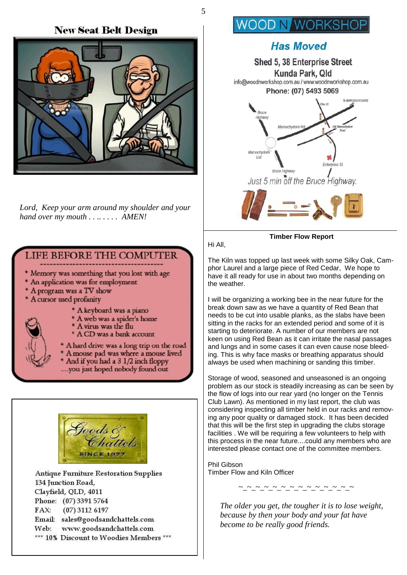### **New Seat Belt Design**



 *Lord, Keep your arm around my shoulder and your hand over my mouth . . .. . . . . AMEN!*

### **LIFE BEFORE THE COMPUTER**

- \* Memory was something that you lost with age
- \* An application was for employment
- \* A program was a TV show
- \* A cursor used profanity
- - \* A keyboard was a piano
	- \* A web was a spider's home \* A virus was the flu
	- \* A CD was a bank account
	- \* A hard drive was a long trip on the road A mouse pad was where a mouse lived And if you had a 3 1/2 inch floppy ....you just hoped nobody found out



**Antique Furniture Restoration Supplies** 134 Junction Road, Clayfield, QLD, 4011 Phone: (07) 3391 5764  $(07)$  3112 6197  $FAX:$ Email: sales@goodsandchattels.com www.goodsandchattels.com Web: \*\*\* 10% Discount to Woodies Members \*\*\*

# **WOOD N WORKSH**

# **Has Moved** Shed 5, 38 Enterprise Street

Kunda Park, Qld info@woodnworkshop.com.au / www.woodnworkshop.com.au Phone: (07) 5493 5069 To MAROOCHYDORE Bruce Maroochydore Ro Maroochydon Exi Entern Bruce Highway Just 5 min off the Bruce Highway.



Hi All,

5

**Timber Flow Report**

The Kiln was topped up last week with some Silky Oak, Camphor Laurel and a large piece of Red Cedar, We hope to have it all ready for use in about two months depending on the weather.

I will be organizing a working bee in the near future for the break down saw as we have a quantity of Red Bean that needs to be cut into usable planks, as the slabs have been sitting in the racks for an extended period and some of it is starting to deteriorate. A number of our members are not keen on using Red Bean as it can irritate the nasal passages and lungs and in some cases it can even cause nose bleeding. This is why face masks or breathing apparatus should always be used when machining or sanding this timber.

Storage of wood, seasoned and unseasoned is an ongoing problem as our stock is steadily increasing as can be seen by the flow of logs into our rear yard (no longer on the Tennis Club Lawn). As mentioned in my last report, the club was considering inspecting all timber held in our racks and removing any poor quality or damaged stock. It has been decided that this will be the first step in upgrading the clubs storage facilities . We will be requiring a few volunteers to help with this process in the near future....could any members who are interested please contact one of the committee members.

Phil Gibson Timber Flow and Kiln Officer



 *The older you get, the tougher it is to lose weight, because by then your body and your fat have become to be really good friends.*